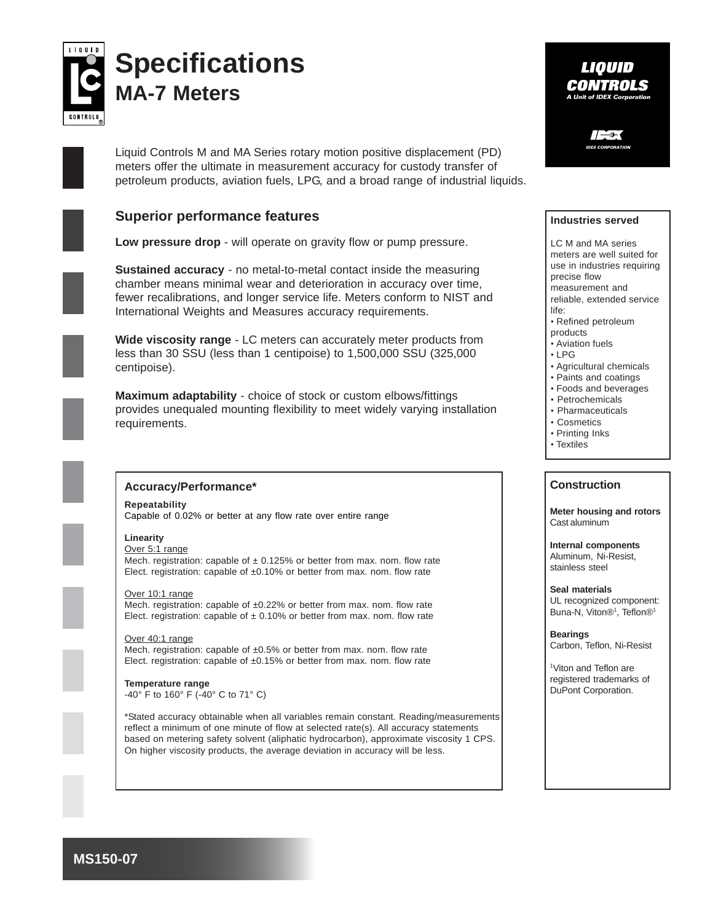

# **Specifications MA-7 Meters**

Liquid Controls M and MA Series rotary motion positive displacement (PD) meters offer the ultimate in measurement accuracy for custody transfer of petroleum products, aviation fuels, LPG, and a broad range of industrial liquids.

# **Superior performance features**

**Low pressure drop** - will operate on gravity flow or pump pressure.

**Sustained accuracy** - no metal-to-metal contact inside the measuring chamber means minimal wear and deterioration in accuracy over time, fewer recalibrations, and longer service life. Meters conform to NIST and International Weights and Measures accuracy requirements.

**Wide viscosity range** - LC meters can accurately meter products from less than 30 SSU (less than 1 centipoise) to 1,500,000 SSU (325,000 centipoise).

**Maximum adaptability** - choice of stock or custom elbows/fittings provides unequaled mounting flexibility to meet widely varying installation requirements.



### **Accuracy/Performance\***

**Repeatability** Capable of 0.02% or better at any flow rate over entire range

## **Linearity**

Over 5:1 range Mech. registration: capable of  $\pm$  0.125% or better from max. nom. flow rate Elect. registration: capable of ±0.10% or better from max. nom. flow rate

#### Over 10:1 range

Mech. registration: capable of ±0.22% or better from max. nom. flow rate Elect. registration: capable of  $\pm$  0.10% or better from max. nom. flow rate

Over 40:1 range Mech. registration: capable of ±0.5% or better from max. nom. flow rate Elect. registration: capable of  $\pm 0.15\%$  or better from max. nom. flow rate

**Temperature range** -40° F to 160° F (-40° C to 71° C)

\*Stated accuracy obtainable when all variables remain constant. Reading/measurements reflect a minimum of one minute of flow at selected rate(s). All accuracy statements based on metering safety solvent (aliphatic hydrocarbon), approximate viscosity 1 CPS. On higher viscosity products, the average deviation in accuracy will be less.

## LIOUID **CONTROLS A Unit of IDEX Corpor**

**IDEX CORPORATION**

#### **Industries served**

LC M and MA series meters are well suited for use in industries requiring precise flow measurement and reliable, extended service life:

- Refined petroleum
- products
- Aviation fuels • LPG
- Agricultural chemicals
- 
- Paints and coatings • Foods and beverages
- Petrochemicals
- Pharmaceuticals
- Cosmetics
- Printing Inks
- Textiles

#### **Construction**

**Meter housing and rotors** Cast aluminum

**Internal components** Aluminum, Ni-Resist, stainless steel

**Seal materials** UL recognized component: Buna-N, Viton®<sup>1</sup>, Teflon®<sup>1</sup>

**Bearings** Carbon, Teflon, Ni-Resist

1 Viton and Teflon are registered trademarks of DuPont Corporation.